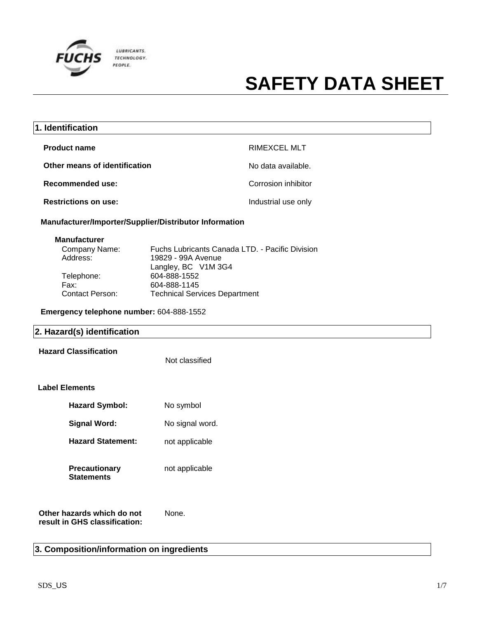

| 1. Identification             |                     |
|-------------------------------|---------------------|
| <b>Product name</b>           | <b>RIMEXCEL MLT</b> |
| Other means of identification | No data available.  |
| Recommended use:              | Corrosion inhibitor |
| <b>Restrictions on use:</b>   | Industrial use only |

**Manufacturer/Importer/Supplier/Distributor Information**

| <b>Manufacturer</b>             |  |
|---------------------------------|--|
| $\bigcap$ and a second Magnetic |  |

| Company Name:          | Fuchs Lubricants Canada LTD. - Pacific Division |
|------------------------|-------------------------------------------------|
| Address:               | 19829 - 99A Avenue                              |
|                        | Langley, BC V1M 3G4                             |
| Telephone:             | 604-888-1552                                    |
| Fax:                   | 604-888-1145                                    |
| <b>Contact Person:</b> | <b>Technical Services Department</b>            |
|                        |                                                 |

**Emergency telephone number:** 604-888-1552

| 2. Hazard(s) identification                                 |                 |  |
|-------------------------------------------------------------|-----------------|--|
| <b>Hazard Classification</b>                                | Not classified  |  |
| <b>Label Elements</b>                                       |                 |  |
| <b>Hazard Symbol:</b>                                       | No symbol       |  |
| <b>Signal Word:</b>                                         | No signal word. |  |
| <b>Hazard Statement:</b>                                    | not applicable  |  |
| <b>Precautionary</b><br><b>Statements</b>                   | not applicable  |  |
| Other hazards which do not<br>result in GHS classification: | None.           |  |

#### **3. Composition/information on ingredients**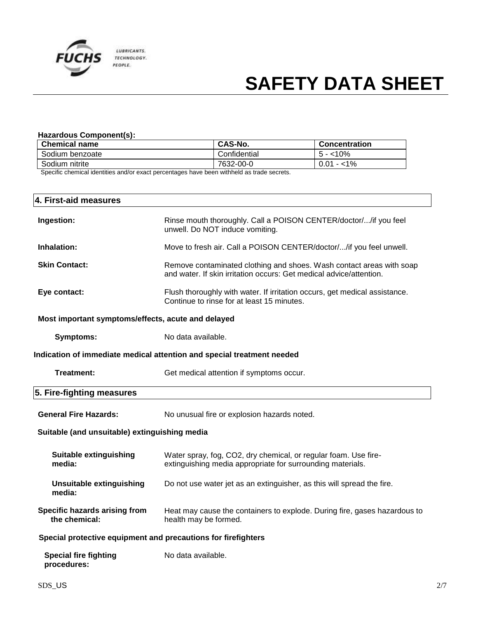

#### **Hazardous Component(s):**

| Confidential | $5 - 10\%$   |
|--------------|--------------|
| 7632-00-0    | $0.01 - 1\%$ |
|              | .            |

Specific chemical identities and/or exact percentages have been withheld as trade secrets.

| 4. First-aid measures                                                  |                                                                                                                                             |  |
|------------------------------------------------------------------------|---------------------------------------------------------------------------------------------------------------------------------------------|--|
| Ingestion:                                                             | Rinse mouth thoroughly. Call a POISON CENTER/doctor//if you feel<br>unwell. Do NOT induce vomiting.                                         |  |
| Inhalation:                                                            | Move to fresh air. Call a POISON CENTER/doctor//if you feel unwell.                                                                         |  |
| <b>Skin Contact:</b>                                                   | Remove contaminated clothing and shoes. Wash contact areas with soap<br>and water. If skin irritation occurs: Get medical advice/attention. |  |
| Eye contact:                                                           | Flush thoroughly with water. If irritation occurs, get medical assistance.<br>Continue to rinse for at least 15 minutes.                    |  |
| Most important symptoms/effects, acute and delayed                     |                                                                                                                                             |  |
| <b>Symptoms:</b>                                                       | No data available.                                                                                                                          |  |
| Indication of immediate medical attention and special treatment needed |                                                                                                                                             |  |
| <b>Treatment:</b>                                                      | Get medical attention if symptoms occur.                                                                                                    |  |
| 5. Fire-fighting measures                                              |                                                                                                                                             |  |
| <b>General Fire Hazards:</b>                                           | No unusual fire or explosion hazards noted.                                                                                                 |  |
| Suitable (and unsuitable) extinguishing media                          |                                                                                                                                             |  |
| <b>Suitable extinguishing</b><br>media:                                | Water spray, fog, CO2, dry chemical, or regular foam. Use fire-<br>extinguishing media appropriate for surrounding materials.               |  |
| <b>Unsuitable extinguishing</b><br>media:                              | Do not use water jet as an extinguisher, as this will spread the fire.                                                                      |  |
| Specific hazards arising from<br>the chemical:                         | Heat may cause the containers to explode. During fire, gases hazardous to<br>health may be formed.                                          |  |
| Special protective equipment and precautions for firefighters          |                                                                                                                                             |  |
| <b>Special fire fighting</b><br>procedures:                            | No data available.                                                                                                                          |  |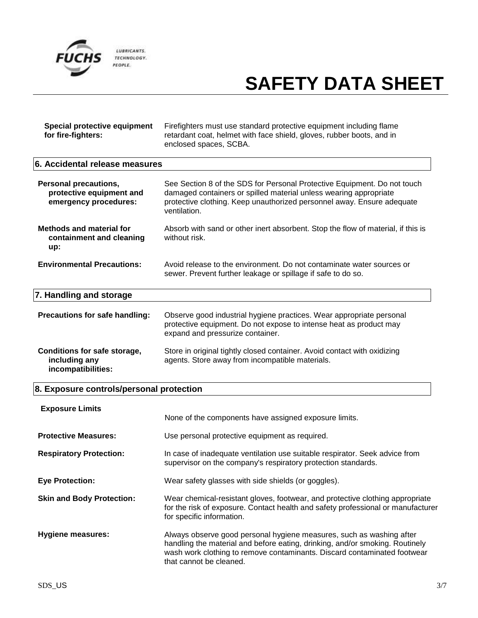

| Special protective equipment<br>for fire-fighters:                                | Firefighters must use standard protective equipment including flame<br>retardant coat, helmet with face shield, gloves, rubber boots, and in<br>enclosed spaces, SCBA.                                                                                      |
|-----------------------------------------------------------------------------------|-------------------------------------------------------------------------------------------------------------------------------------------------------------------------------------------------------------------------------------------------------------|
| 6. Accidental release measures                                                    |                                                                                                                                                                                                                                                             |
| <b>Personal precautions,</b><br>protective equipment and<br>emergency procedures: | See Section 8 of the SDS for Personal Protective Equipment. Do not touch<br>damaged containers or spilled material unless wearing appropriate<br>protective clothing. Keep unauthorized personnel away. Ensure adequate<br>ventilation.                     |
| <b>Methods and material for</b><br>containment and cleaning<br>up:                | Absorb with sand or other inert absorbent. Stop the flow of material, if this is<br>without risk.                                                                                                                                                           |
| <b>Environmental Precautions:</b>                                                 | Avoid release to the environment. Do not contaminate water sources or<br>sewer. Prevent further leakage or spillage if safe to do so.                                                                                                                       |
| 7. Handling and storage                                                           |                                                                                                                                                                                                                                                             |
| Precautions for safe handling:                                                    | Observe good industrial hygiene practices. Wear appropriate personal<br>protective equipment. Do not expose to intense heat as product may<br>expand and pressurize container.                                                                              |
| <b>Conditions for safe storage,</b><br>including any<br>incompatibilities:        | Store in original tightly closed container. Avoid contact with oxidizing<br>agents. Store away from incompatible materials.                                                                                                                                 |
| 8. Exposure controls/personal protection                                          |                                                                                                                                                                                                                                                             |
| <b>Exposure Limits</b>                                                            |                                                                                                                                                                                                                                                             |
|                                                                                   | None of the components have assigned exposure limits.                                                                                                                                                                                                       |
| <b>Protective Measures:</b>                                                       | Use personal protective equipment as required.                                                                                                                                                                                                              |
| <b>Respiratory Protection:</b>                                                    | In case of inadequate ventilation use suitable respirator. Seek advice from<br>supervisor on the company's respiratory protection standards.                                                                                                                |
| <b>Eye Protection:</b>                                                            | Wear safety glasses with side shields (or goggles).                                                                                                                                                                                                         |
| <b>Skin and Body Protection:</b>                                                  | Wear chemical-resistant gloves, footwear, and protective clothing appropriate<br>for the risk of exposure. Contact health and safety professional or manufacturer<br>for specific information.                                                              |
| <b>Hygiene measures:</b>                                                          | Always observe good personal hygiene measures, such as washing after<br>handling the material and before eating, drinking, and/or smoking. Routinely<br>wash work clothing to remove contaminants. Discard contaminated footwear<br>that cannot be cleaned. |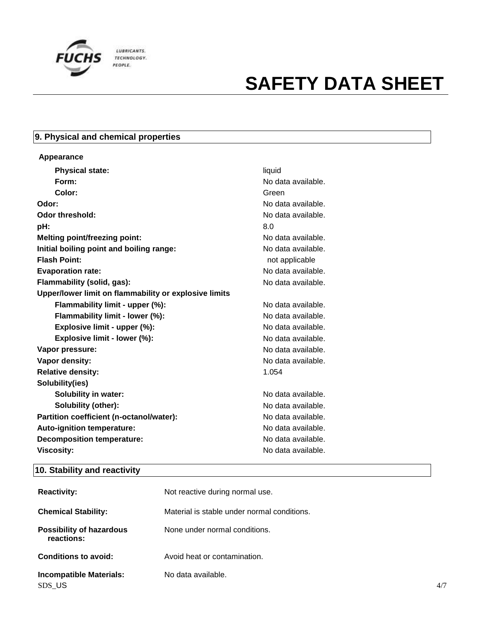

#### **9. Physical and chemical properties**

| Appearance                                            |        |
|-------------------------------------------------------|--------|
| <b>Physical state:</b>                                | liquid |
| Form:                                                 | No dat |
| Color:                                                | Green  |
| Odor:                                                 | No dat |
| <b>Odor threshold:</b>                                | No dat |
| pH:                                                   | 8.0    |
| <b>Melting point/freezing point:</b>                  | No dat |
| Initial boiling point and boiling range:              | No dat |
| <b>Flash Point:</b>                                   | not a  |
| <b>Evaporation rate:</b>                              | No dat |
| Flammability (solid, gas):                            | No dat |
| Upper/lower limit on flammability or explosive limits |        |
| Flammability limit - upper (%):                       | No dat |
| Flammability limit - lower (%):                       | No dat |
| Explosive limit - upper (%):                          | No dat |
| Explosive limit - lower (%):                          | No dat |
| Vapor pressure:                                       | No dat |
| Vapor density:                                        | No dat |
| <b>Relative density:</b>                              | 1.054  |
| Solubility(ies)                                       |        |
| <b>Solubility in water:</b>                           | No dat |
| Solubility (other):                                   | No dat |
| Partition coefficient (n-octanol/water):              | No dat |
| Auto-ignition temperature:                            | No dat |
| <b>Decomposition temperature:</b>                     | No dat |
| <b>Viscosity:</b>                                     | No dat |

**Form:** No data available. **Odor:** No data available. No data available. **Melting point/freezing point:** No data available. **No data available. Flash Point:** not applicable **Evaporation rate:** No data available. **Flammability (solid, gas):** No data available. No data available. No data available. No data available. **Explosive limit - lower (%):** No data available. No data available. **Vapor density:** No data available.

**Solubility in water:** No data available. **Solubility (other):** No data available. No data available. No data available. No data available. **Viscosity:** No data available.

#### **10. Stability and reactivity**

| <b>Reactivity:</b>                            | Not reactive during normal use.             |     |
|-----------------------------------------------|---------------------------------------------|-----|
| <b>Chemical Stability:</b>                    | Material is stable under normal conditions. |     |
| <b>Possibility of hazardous</b><br>reactions: | None under normal conditions.               |     |
| <b>Conditions to avoid:</b>                   | Avoid heat or contamination.                |     |
| <b>Incompatible Materials:</b><br>SDS_US      | No data available.                          | 4/7 |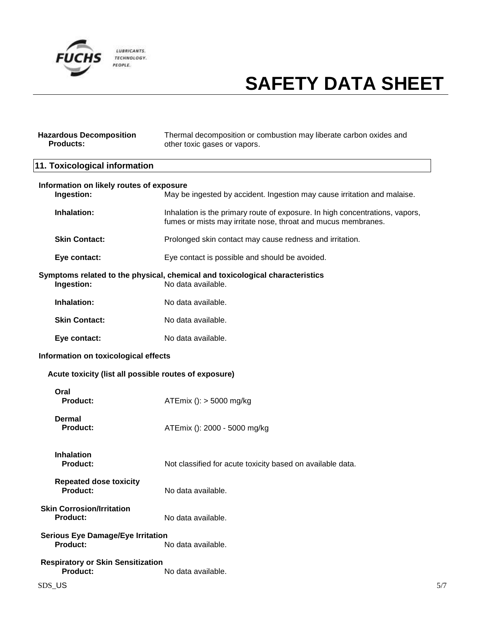

| <b>Hazardous Decomposition</b><br><b>Products:</b>          | Thermal decomposition or combustion may liberate carbon oxides and<br>other toxic gases or vapors.                                            |  |
|-------------------------------------------------------------|-----------------------------------------------------------------------------------------------------------------------------------------------|--|
| 11. Toxicological information                               |                                                                                                                                               |  |
| Information on likely routes of exposure<br>Ingestion:      | May be ingested by accident. Ingestion may cause irritation and malaise.                                                                      |  |
| Inhalation:                                                 | Inhalation is the primary route of exposure. In high concentrations, vapors,<br>fumes or mists may irritate nose, throat and mucus membranes. |  |
| <b>Skin Contact:</b>                                        | Prolonged skin contact may cause redness and irritation.                                                                                      |  |
| Eye contact:                                                | Eye contact is possible and should be avoided.                                                                                                |  |
| Ingestion:                                                  | Symptoms related to the physical, chemical and toxicological characteristics<br>No data available.                                            |  |
| Inhalation:                                                 | No data available.                                                                                                                            |  |
| <b>Skin Contact:</b>                                        | No data available.                                                                                                                            |  |
| Eye contact:                                                | No data available.                                                                                                                            |  |
| Information on toxicological effects                        |                                                                                                                                               |  |
| Acute toxicity (list all possible routes of exposure)       |                                                                                                                                               |  |
| Oral<br><b>Product:</b>                                     | ATEmix (): > 5000 mg/kg                                                                                                                       |  |
| Dermal<br><b>Product:</b>                                   | ATEmix (): 2000 - 5000 mg/kg                                                                                                                  |  |
| <b>Inhalation</b><br><b>Product:</b>                        | Not classified for acute toxicity based on available data.                                                                                    |  |
| <b>Repeated dose toxicity</b><br><b>Product:</b>            | No data available.                                                                                                                            |  |
| <b>Skin Corrosion/Irritation</b><br>Product:                | No data available.                                                                                                                            |  |
| <b>Serious Eye Damage/Eye Irritation</b><br>Product:        | No data available.                                                                                                                            |  |
| <b>Respiratory or Skin Sensitization</b><br><b>Product:</b> | No data available.                                                                                                                            |  |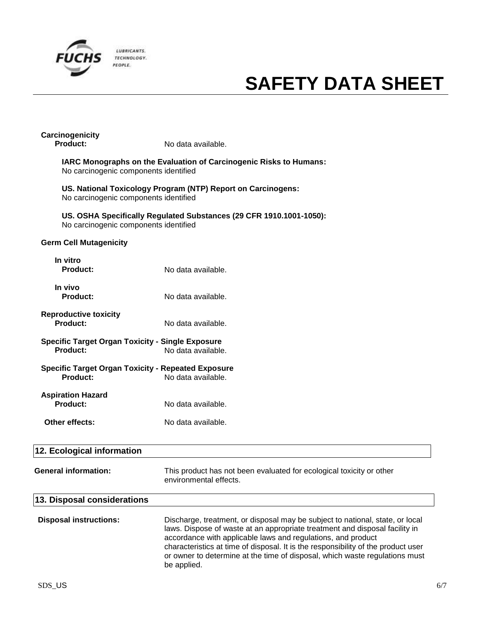

### **Carcinogenicity**

**Product:** No data available.

**IARC Monographs on the Evaluation of Carcinogenic Risks to Humans:** No carcinogenic components identified

**US. National Toxicology Program (NTP) Report on Carcinogens:** No carcinogenic components identified

**US. OSHA Specifically Regulated Substances (29 CFR 1910.1001-1050):** No carcinogenic components identified

#### **Germ Cell Mutagenicity**

| In vitro<br>Product:                                           | No data available. |
|----------------------------------------------------------------|--------------------|
| In vivo<br>Product:                                            | No data available. |
| <b>Reproductive toxicity</b><br>Product:                       | No data available. |
| Specific Target Organ Toxicity - Single Exposure<br>Product:   | No data available. |
| Specific Target Organ Toxicity - Repeated Exposure<br>Product: | No data available. |
| <b>Aspiration Hazard</b><br>Product:                           | No data available. |
| <b>Other effects:</b>                                          | No data available. |

| 12. Ecological information    |                                                                                                                                                                                                                                                                                                                                                                                                                 |
|-------------------------------|-----------------------------------------------------------------------------------------------------------------------------------------------------------------------------------------------------------------------------------------------------------------------------------------------------------------------------------------------------------------------------------------------------------------|
| <b>General information:</b>   | This product has not been evaluated for ecological toxicity or other<br>environmental effects.                                                                                                                                                                                                                                                                                                                  |
| 13. Disposal considerations   |                                                                                                                                                                                                                                                                                                                                                                                                                 |
| <b>Disposal instructions:</b> | Discharge, treatment, or disposal may be subject to national, state, or local<br>laws. Dispose of waste at an appropriate treatment and disposal facility in<br>accordance with applicable laws and regulations, and product<br>characteristics at time of disposal. It is the responsibility of the product user<br>or owner to determine at the time of disposal, which waste regulations must<br>be applied. |